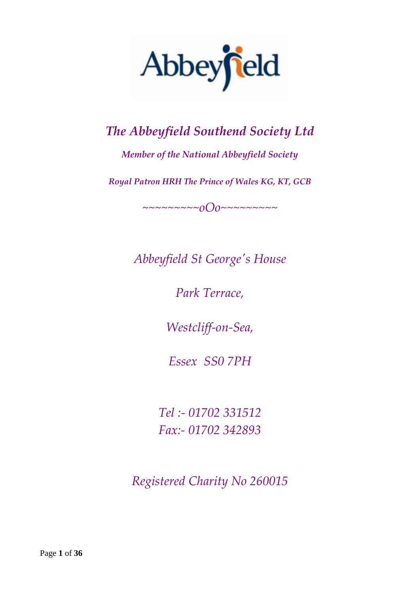

# *The Abbeyfield Southend Society Ltd*

*Member of the National Abbeyfield Society*

*Royal Patron HRH The Prince of Wales KG, KT, GCB*

*~~~~~~~~~oOo~~~~~~~~~*

*Abbeyfield St George's House*

*Park Terrace,*

*Westcliff-on-Sea,*

*Essex SS0 7PH*

*Tel :- 01702 331512 Fax:- 01702 342893*

*Registered Charity No 260015*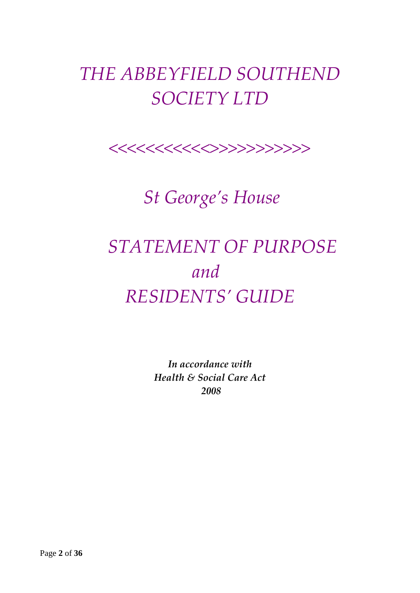# *THE ABBEYFIELD SOUTHEND SOCIETY LTD*



 *St George's House*

# *STATEMENT OF PURPOSE and RESIDENTS' GUIDE*

*In accordance with Health & Social Care Act 2008*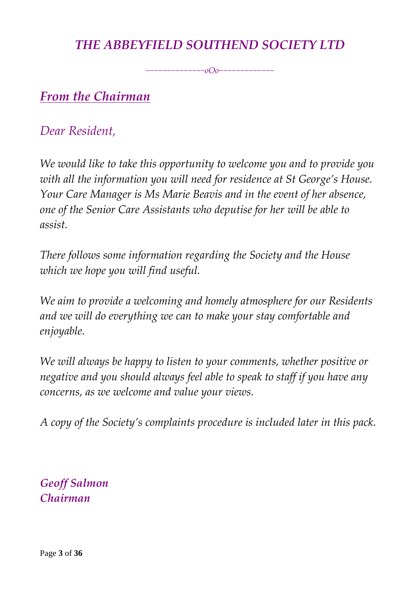### *THE ABBEYFIELD SOUTHEND SOCIETY LTD*

*~~~~~~~~~~~~~~oOo~~~~~~~~~~~~~*

### *From the Chairman*

### *Dear Resident,*

*We would like to take this opportunity to welcome you and to provide you with all the information you will need for residence at St George's House. Your Care Manager is Ms Marie Beavis and in the event of her absence, one of the Senior Care Assistants who deputise for her will be able to assist.*

*There follows some information regarding the Society and the House which we hope you will find useful.*

*We aim to provide a welcoming and homely atmosphere for our Residents and we will do everything we can to make your stay comfortable and enjoyable.*

*We will always be happy to listen to your comments, whether positive or negative and you should always feel able to speak to staff if you have any concerns, as we welcome and value your views.*

*A copy of the Society's complaints procedure is included later in this pack.*

*Geoff Salmon Chairman*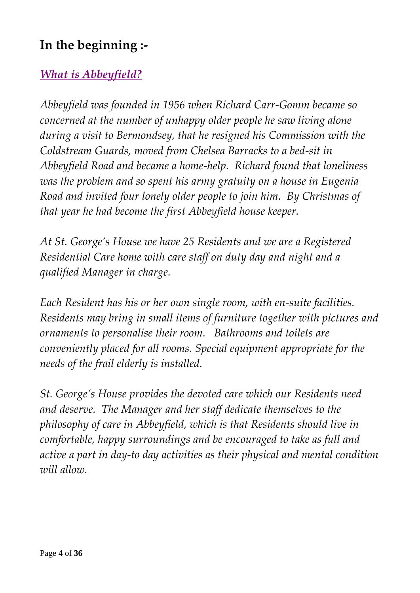### **In the beginning :-**

### *What is Abbeyfield?*

*Abbeyfield was founded in 1956 when Richard Carr-Gomm became so concerned at the number of unhappy older people he saw living alone during a visit to Bermondsey, that he resigned his Commission with the Coldstream Guards, moved from Chelsea Barracks to a bed-sit in Abbeyfield Road and became a home-help. Richard found that loneliness was the problem and so spent his army gratuity on a house in Eugenia Road and invited four lonely older people to join him. By Christmas of that year he had become the first Abbeyfield house keeper.*

*At St. George's House we have 25 Residents and we are a Registered Residential Care home with care staff on duty day and night and a qualified Manager in charge.*

*Each Resident has his or her own single room, with en-suite facilities. Residents may bring in small items of furniture together with pictures and ornaments to personalise their room. Bathrooms and toilets are conveniently placed for all rooms. Special equipment appropriate for the needs of the frail elderly is installed.*

*St. George's House provides the devoted care which our Residents need and deserve. The Manager and her staff dedicate themselves to the philosophy of care in Abbeyfield, which is that Residents should live in comfortable, happy surroundings and be encouraged to take as full and active a part in day-to day activities as their physical and mental condition will allow.*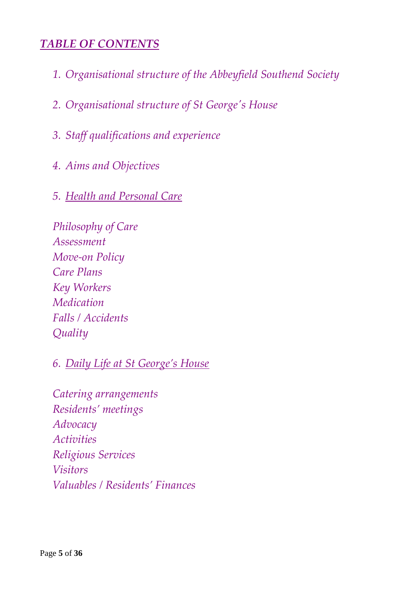#### *TABLE OF CONTENTS*

- *1. Organisational structure of the Abbeyfield Southend Society*
- *2. Organisational structure of St George's House*
- *3. Staff qualifications and experience*
- *4. Aims and Objectives*
- *5. Health and Personal Care*

*Philosophy of Care Assessment Move-on Policy Care Plans Key Workers Medication Falls / Accidents Quality*

*6. Daily Life at St George's House*

*Catering arrangements Residents' meetings Advocacy Activities Religious Services Visitors Valuables / Residents' Finances*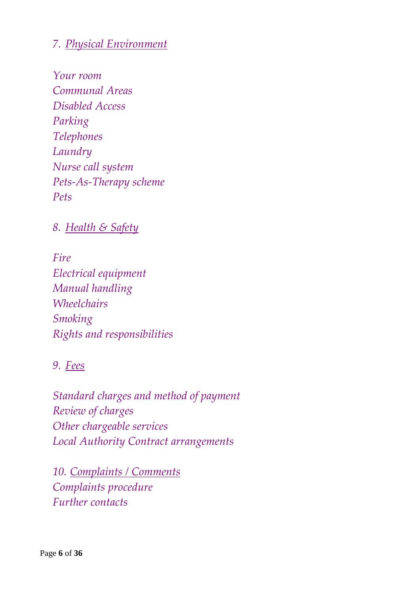#### *7. Physical Environment*

*Your room Communal Areas Disabled Access Parking Telephones Laundry Nurse call system Pets-As-Therapy scheme Pets*

#### *8. Health & Safety*

*Fire Electrical equipment Manual handling Wheelchairs Smoking Rights and responsibilities*

#### *9. Fees*

*Standard charges and method of payment Review of charges Other chargeable services Local Authority Contract arrangements*

*10. Complaints / Comments Complaints procedure Further contacts*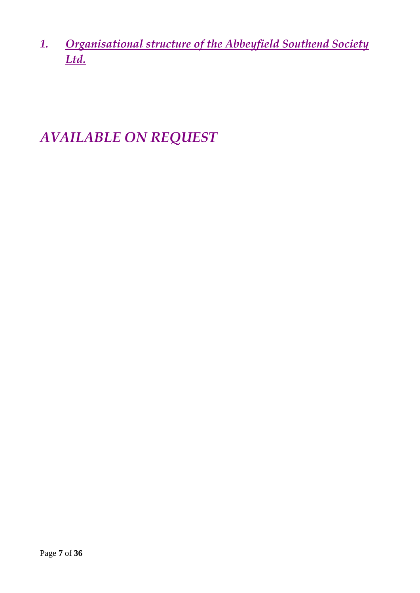*1. Organisational structure of the Abbeyfield Southend Society Ltd.*

# *AVAILABLE ON REQUEST*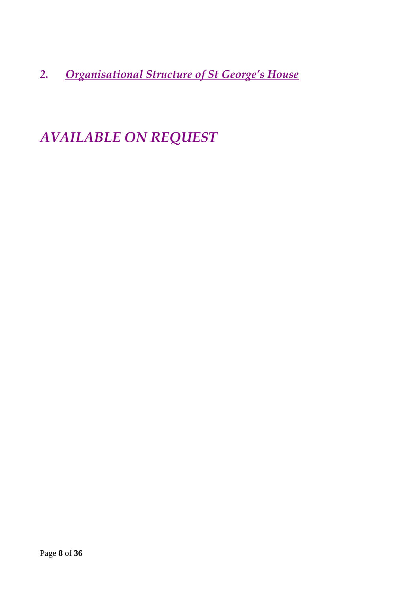*2. Organisational Structure of St George's House*

# *AVAILABLE ON REQUEST*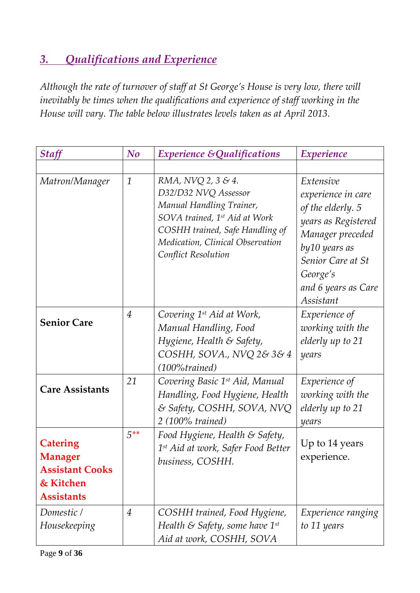### *3. Qualifications and Experience*

*Although the rate of turnover of staff at St George's House is very low, there will inevitably be times when the qualifications and experience of staff working in the House will vary. The table below illustrates levels taken as at April 2013.*

| <b>Staff</b>                                                                                  | N <sub>o</sub> | <b>Experience &amp; Qualifications</b>                                                                                                                                                                | <i>Experience</i>                                                                                                                                                                      |
|-----------------------------------------------------------------------------------------------|----------------|-------------------------------------------------------------------------------------------------------------------------------------------------------------------------------------------------------|----------------------------------------------------------------------------------------------------------------------------------------------------------------------------------------|
|                                                                                               |                |                                                                                                                                                                                                       |                                                                                                                                                                                        |
| Matron/Manager                                                                                | $\mathbf{1}$   | RMA, NVQ 2, 3 & 4.<br>D32/D32 NVQ Assessor<br>Manual Handling Trainer,<br>SOVA trained, 1st Aid at Work<br>COSHH trained, Safe Handling of<br>Medication, Clinical Observation<br>Conflict Resolution | Extensive<br>experience in care<br>of the elderly. 5<br>years as Registered<br>Manager preceded<br>by 10 years as<br>Senior Care at St<br>George's<br>and 6 years as Care<br>Assistant |
| <b>Senior Care</b>                                                                            | $\overline{4}$ | Covering 1 <sup>st</sup> Aid at Work,<br>Manual Handling, Food<br>Hygiene, Health & Safety,<br>COSHH, SOVA., NVQ 2& 3& 4<br>$(100\% trained)$                                                         | Experience of<br>working with the<br>elderly up to 21<br>years                                                                                                                         |
| <b>Care Assistants</b>                                                                        | 21             | Covering Basic 1 <sup>st</sup> Aid, Manual<br>Handling, Food Hygiene, Health<br>& Safety, COSHH, SOVA, NVQ<br>$2(100\%$ trained)                                                                      | Experience of<br>working with the<br>elderly up to 21<br>years                                                                                                                         |
| <b>Catering</b><br><b>Manager</b><br><b>Assistant Cooks</b><br>& Kitchen<br><b>Assistants</b> | $5***$         | Food Hygiene, Health & Safety,<br>1 <sup>st</sup> Aid at work, Safer Food Better<br>business, COSHH.                                                                                                  | Up to 14 years<br>experience.                                                                                                                                                          |
| Domestic /<br>Housekeeping                                                                    | $\overline{4}$ | COSHH trained, Food Hygiene,<br>Health & Safety, some have $1^{st}$<br>Aid at work, COSHH, SOVA                                                                                                       | Experience ranging<br>to 11 years                                                                                                                                                      |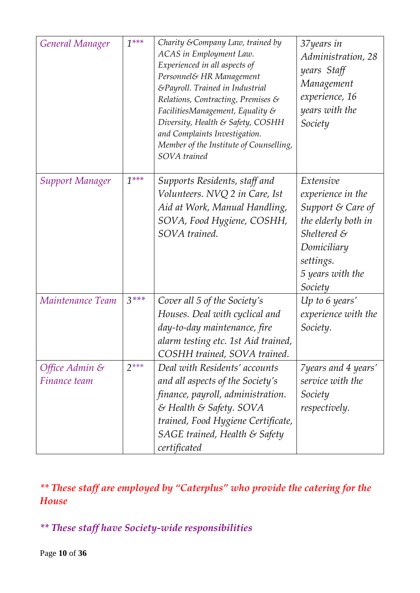| General Manager                | $1***$ | Charity & Company Law, trained by<br>ACAS in Employment Law.<br>Experienced in all aspects of<br>Personnel& HR Management<br>&Payroll. Trained in Industrial<br>Relations, Contracting, Premises $\mathcal S$<br>FacilitiesManagement, Equality $\mathcal S$<br>Diversity, Health & Safety, COSHH<br>and Complaints Investigation.<br>Member of the Institute of Counselling,<br>SOVA trained | 37years in<br>Administration, 28<br>years Staff<br>Management<br>experience, 16<br>years with the<br>Society                                                    |
|--------------------------------|--------|-----------------------------------------------------------------------------------------------------------------------------------------------------------------------------------------------------------------------------------------------------------------------------------------------------------------------------------------------------------------------------------------------|-----------------------------------------------------------------------------------------------------------------------------------------------------------------|
| <b>Support Manager</b>         | $1***$ | Supports Residents, staff and<br>Volunteers. NVQ 2 in Care, Ist<br>Aid at Work, Manual Handling,<br>SOVA, Food Hygiene, COSHH,<br>SOVA trained.                                                                                                                                                                                                                                               | Extensive<br>experience in the<br>Support & Care of<br>the elderly both in<br>Sheltered $\mathcal S$<br>Domiciliary<br>settings.<br>5 years with the<br>Society |
| Maintenance Team               | $3***$ | Cover all 5 of the Society's<br>Houses. Deal with cyclical and<br>day-to-day maintenance, fire<br>alarm testing etc. 1st Aid trained,<br>COSHH trained, SOVA trained.                                                                                                                                                                                                                         | $Up$ to 6 years'<br>experience with the<br>Society.                                                                                                             |
| Office Admin &<br>Finance team | $2***$ | Deal with Residents' accounts<br>and all aspects of the Society's<br>finance, payroll, administration.<br>& Health & Safety. SOVA<br>trained, Food Hygiene Certificate,<br>SAGE trained, Health $\mathcal S$ Safety<br>certificated                                                                                                                                                           | 7 years and 4 years'<br>service with the<br>Society<br><i>respectively.</i>                                                                                     |

### *\*\* These staff are employed by "Caterplus" who provide the catering for the House*

*\*\* These staff have Society-wide responsibilities*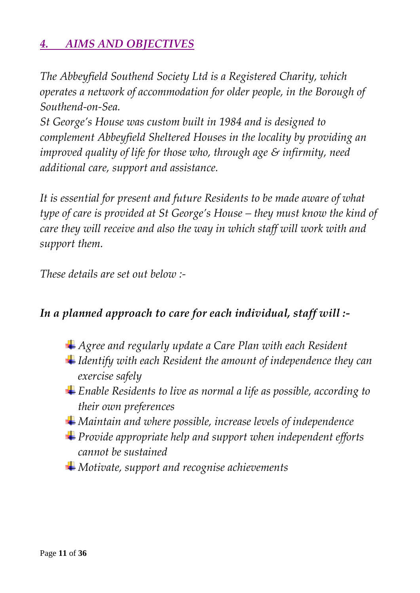### *4. AIMS AND OBJECTIVES*

*The Abbeyfield Southend Society Ltd is a Registered Charity, which operates a network of accommodation for older people, in the Borough of Southend-on-Sea.*

*St George's House was custom built in 1984 and is designed to complement Abbeyfield Sheltered Houses in the locality by providing an improved quality of life for those who, through age & infirmity, need additional care, support and assistance.*

*It is essential for present and future Residents to be made aware of what type of care is provided at St George's House – they must know the kind of care they will receive and also the way in which staff will work with and support them.*

*These details are set out below :-*

#### *In a planned approach to care for each individual, staff will :-*

- *Agree and regularly update a Care Plan with each Resident*
- *Identify with each Resident the amount of independence they can exercise safely*
- *Enable Residents to live as normal a life as possible, according to their own preferences*
- *Maintain and where possible, increase levels of independence*
- *Provide appropriate help and support when independent efforts cannot be sustained*
- *Motivate, support and recognise achievements*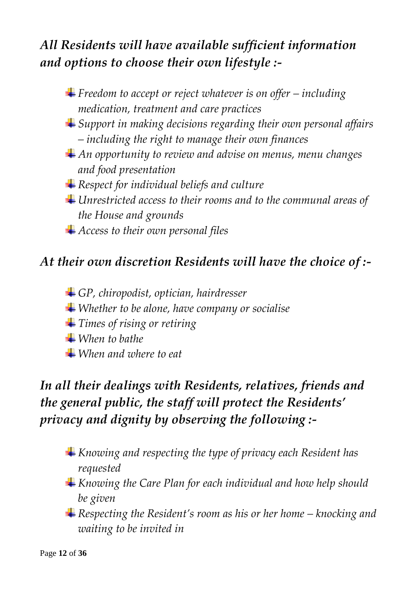## *All Residents will have available sufficient information and options to choose their own lifestyle :-*

- $\blacktriangle$  Freedom to accept or reject whatever is on offer *including medication, treatment and care practices*
- *Support in making decisions regarding their own personal affairs – including the right to manage their own finances*
- *An opportunity to review and advise on menus, menu changes and food presentation*
- *Respect for individual beliefs and culture*
- *Unrestricted access to their rooms and to the communal areas of the House and grounds*
- *Access to their own personal files*

### *At their own discretion Residents will have the choice of :-*

- *GP, chiropodist, optician, hairdresser*
- *Whether to be alone, have company or socialise*
- *Times of rising or retiring*
- *When to bathe*
- *When and where to eat*

# *In all their dealings with Residents, relatives, friends and the general public, the staff will protect the Residents' privacy and dignity by observing the following :-*

- *Knowing and respecting the type of privacy each Resident has requested*
- *Knowing the Care Plan for each individual and how help should be given*
- *Respecting the Resident's room as his or her home – knocking and waiting to be invited in*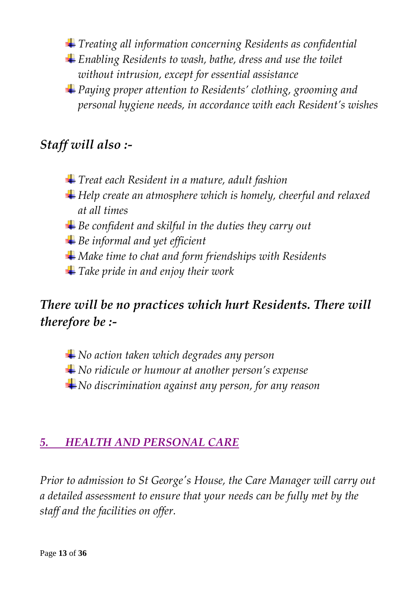*Treating all information concerning Residents as confidential*

- *Enabling Residents to wash, bathe, dress and use the toilet without intrusion, except for essential assistance*
- *Paying proper attention to Residents' clothing, grooming and personal hygiene needs, in accordance with each Resident's wishes*

### *Staff will also :-*

- *Treat each Resident in a mature, adult fashion*
- *Help create an atmosphere which is homely, cheerful and relaxed at all times*
- *Be confident and skilful in the duties they carry out*
- *Be informal and yet efficient*
- *Make time to chat and form friendships with Residents*
- *Take pride in and enjoy their work*

### *There will be no practices which hurt Residents. There will therefore be :-*

*No action taken which degrades any person*

- *No ridicule or humour at another person's expense*
- *No discrimination against any person, for any reason*

#### *5. HEALTH AND PERSONAL CARE*

*Prior to admission to St George's House, the Care Manager will carry out a detailed assessment to ensure that your needs can be fully met by the staff and the facilities on offer.*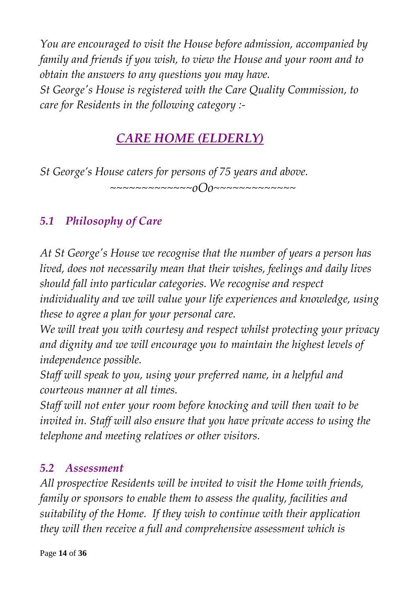*You are encouraged to visit the House before admission, accompanied by family and friends if you wish, to view the House and your room and to obtain the answers to any questions you may have. St George's House is registered with the Care Quality Commission, to care for Residents in the following category :-*

## *CARE HOME (ELDERLY)*

*St George's House caters for persons of 75 years and above. ~~~~~~~~~~~~~oOo~~~~~~~~~~~~~*

### *5.1 Philosophy of Care*

*At St George's House we recognise that the number of years a person has lived, does not necessarily mean that their wishes, feelings and daily lives should fall into particular categories. We recognise and respect* 

*individuality and we will value your life experiences and knowledge, using these to agree a plan for your personal care.*

*We will treat you with courtesy and respect whilst protecting your privacy and dignity and we will encourage you to maintain the highest levels of independence possible.*

*Staff will speak to you, using your preferred name, in a helpful and courteous manner at all times.* 

*Staff will not enter your room before knocking and will then wait to be invited in. Staff will also ensure that you have private access to using the telephone and meeting relatives or other visitors.*

#### *5.2 Assessment*

*All prospective Residents will be invited to visit the Home with friends, family or sponsors to enable them to assess the quality, facilities and suitability of the Home. If they wish to continue with their application they will then receive a full and comprehensive assessment which is*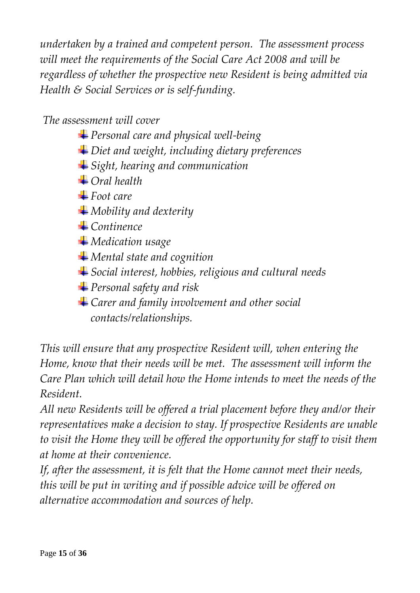*undertaken by a trained and competent person. The assessment process will meet the requirements of the Social Care Act 2008 and will be regardless of whether the prospective new Resident is being admitted via Health & Social Services or is self-funding.*

#### *The assessment will cover*

*Personal care and physical well-being Diet and weight, including dietary preferences Sight, hearing and communication Oral health* **<sup>■</sup>Foot care** *Mobility and dexterity Continence Medication usage Mental state and cognition Social interest, hobbies, religious and cultural needs Personal safety and risk Carer and family involvement and other social contacts/relationships.*

*This will ensure that any prospective Resident will, when entering the Home, know that their needs will be met. The assessment will inform the Care Plan which will detail how the Home intends to meet the needs of the Resident.*

*All new Residents will be offered a trial placement before they and/or their representatives make a decision to stay. If prospective Residents are unable to visit the Home they will be offered the opportunity for staff to visit them at home at their convenience.* 

*If, after the assessment, it is felt that the Home cannot meet their needs, this will be put in writing and if possible advice will be offered on alternative accommodation and sources of help.*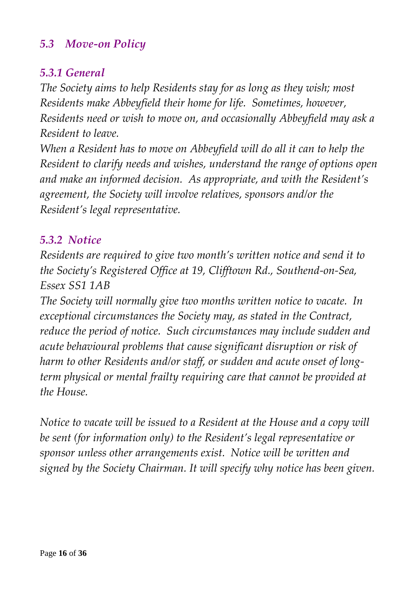#### *5.3 Move-on Policy*

#### *5.3.1 General*

*The Society aims to help Residents stay for as long as they wish; most Residents make Abbeyfield their home for life. Sometimes, however, Residents need or wish to move on, and occasionally Abbeyfield may ask a Resident to leave.*

*When a Resident has to move on Abbeyfield will do all it can to help the Resident to clarify needs and wishes, understand the range of options open and make an informed decision. As appropriate, and with the Resident's agreement, the Society will involve relatives, sponsors and/or the Resident's legal representative.*

#### *5.3.2 Notice*

*Residents are required to give two month's written notice and send it to the Society's Registered Office at 19, Clifftown Rd., Southend-on-Sea, Essex SS1 1AB*

*The Society will normally give two months written notice to vacate. In exceptional circumstances the Society may, as stated in the Contract, reduce the period of notice. Such circumstances may include sudden and acute behavioural problems that cause significant disruption or risk of harm to other Residents and/or staff, or sudden and acute onset of longterm physical or mental frailty requiring care that cannot be provided at the House.*

*Notice to vacate will be issued to a Resident at the House and a copy will be sent (for information only) to the Resident's legal representative or sponsor unless other arrangements exist. Notice will be written and signed by the Society Chairman. It will specify why notice has been given.*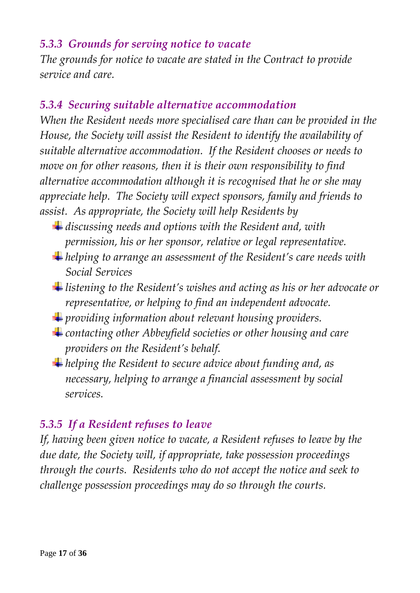#### *5.3.3 Grounds for serving notice to vacate*

*The grounds for notice to vacate are stated in the Contract to provide service and care.*

#### *5.3.4 Securing suitable alternative accommodation*

*When the Resident needs more specialised care than can be provided in the House, the Society will assist the Resident to identify the availability of suitable alternative accommodation. If the Resident chooses or needs to move on for other reasons, then it is their own responsibility to find alternative accommodation although it is recognised that he or she may appreciate help. The Society will expect sponsors, family and friends to assist. As appropriate, the Society will help Residents by* 

- *discussing needs and options with the Resident and, with permission, his or her sponsor, relative or legal representative.*
- *helping to arrange an assessment of the Resident's care needs with Social Services*
- *listening to the Resident's wishes and acting as his or her advocate or representative, or helping to find an independent advocate.*
- *providing information about relevant housing providers.*
- *contacting other Abbeyfield societies or other housing and care providers on the Resident's behalf.*
- *helping the Resident to secure advice about funding and, as necessary, helping to arrange a financial assessment by social services.*

### *5.3.5 If a Resident refuses to leave*

*If, having been given notice to vacate, a Resident refuses to leave by the due date, the Society will, if appropriate, take possession proceedings through the courts. Residents who do not accept the notice and seek to challenge possession proceedings may do so through the courts.*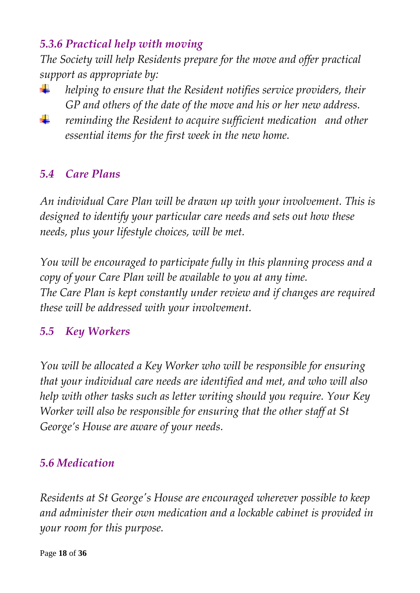### *5.3.6 Practical help with moving*

*The Society will help Residents prepare for the move and offer practical support as appropriate by:*

- *helping to ensure that the Resident notifies service providers, their*  ÷ *GP and others of the date of the move and his or her new address.*
- ₩ *reminding the Resident to acquire sufficient medication and other essential items for the first week in the new home.*

### *5.4 Care Plans*

*An individual Care Plan will be drawn up with your involvement. This is designed to identify your particular care needs and sets out how these needs, plus your lifestyle choices, will be met.*

*You will be encouraged to participate fully in this planning process and a copy of your Care Plan will be available to you at any time. The Care Plan is kept constantly under review and if changes are required these will be addressed with your involvement.*

#### *5.5 Key Workers*

*You will be allocated a Key Worker who will be responsible for ensuring that your individual care needs are identified and met, and who will also help with other tasks such as letter writing should you require. Your Key Worker will also be responsible for ensuring that the other staff at St George's House are aware of your needs.*

#### *5.6 Medication*

*Residents at St George's House are encouraged wherever possible to keep and administer their own medication and a lockable cabinet is provided in your room for this purpose.*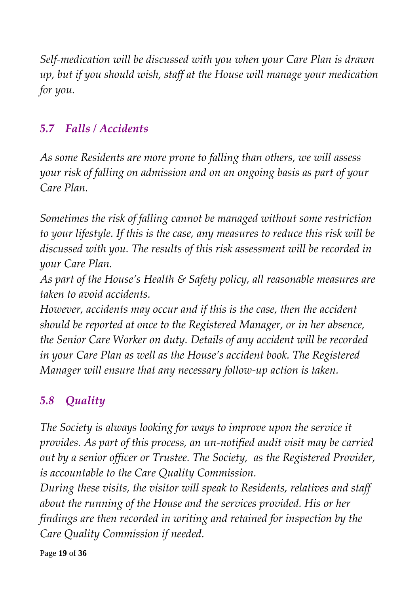*Self-medication will be discussed with you when your Care Plan is drawn up, but if you should wish, staff at the House will manage your medication for you.*

### *5.7 Falls / Accidents*

*As some Residents are more prone to falling than others, we will assess your risk of falling on admission and on an ongoing basis as part of your Care Plan.* 

*Sometimes the risk of falling cannot be managed without some restriction to your lifestyle. If this is the case, any measures to reduce this risk will be discussed with you. The results of this risk assessment will be recorded in your Care Plan.*

*As part of the House's Health & Safety policy, all reasonable measures are taken to avoid accidents.*

*However, accidents may occur and if this is the case, then the accident should be reported at once to the Registered Manager, or in her absence, the Senior Care Worker on duty. Details of any accident will be recorded in your Care Plan as well as the House's accident book. The Registered Manager will ensure that any necessary follow-up action is taken.*

### *5.8 Quality*

*The Society is always looking for ways to improve upon the service it provides. As part of this process, an un-notified audit visit may be carried out by a senior officer or Trustee. The Society, as the Registered Provider, is accountable to the Care Quality Commission.*

*During these visits, the visitor will speak to Residents, relatives and staff about the running of the House and the services provided. His or her findings are then recorded in writing and retained for inspection by the Care Quality Commission if needed.*

Page **19** of **36**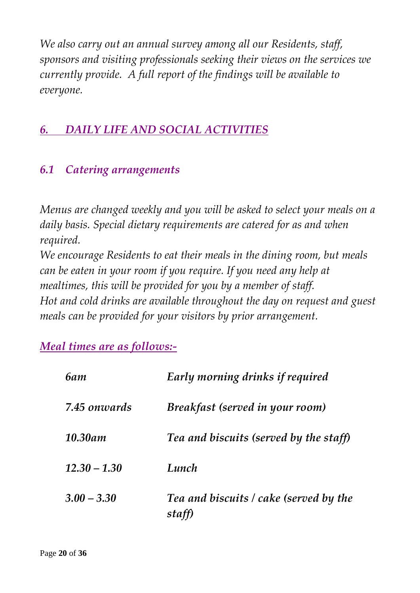*We also carry out an annual survey among all our Residents, staff, sponsors and visiting professionals seeking their views on the services we currently provide. A full report of the findings will be available to everyone.*

### *6. DAILY LIFE AND SOCIAL ACTIVITIES*

### *6.1 Catering arrangements*

*Menus are changed weekly and you will be asked to select your meals on a daily basis. Special dietary requirements are catered for as and when required.*

*We encourage Residents to eat their meals in the dining room, but meals can be eaten in your room if you require. If you need any help at mealtimes, this will be provided for you by a member of staff. Hot and cold drinks are available throughout the day on request and guest meals can be provided for your visitors by prior arrangement.*

*Meal times are as follows:-*

| <b>6am</b>     | Early morning drinks if required                 |
|----------------|--------------------------------------------------|
| 7.45 onwards   | Breakfast (served in your room)                  |
| 10.30am        | Tea and biscuits (served by the staff)           |
| $12.30 - 1.30$ | Lunch                                            |
| $3.00 - 3.30$  | Tea and biscuits / cake (served by the<br>staff) |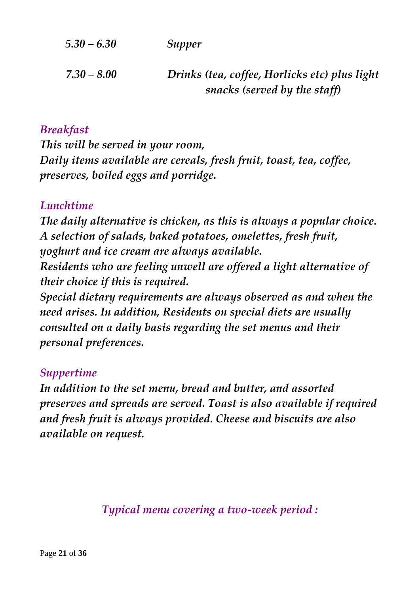| $5.30 - 6.30$ | Supper                                                                        |
|---------------|-------------------------------------------------------------------------------|
| $7.30 - 8.00$ | Drinks (tea, coffee, Horlicks etc) plus light<br>snacks (served by the staff) |

#### *Breakfast*

*This will be served in your room, Daily items available are cereals, fresh fruit, toast, tea, coffee, preserves, boiled eggs and porridge.*

#### *Lunchtime*

*The daily alternative is chicken, as this is always a popular choice. A selection of salads, baked potatoes, omelettes, fresh fruit, yoghurt and ice cream are always available. Residents who are feeling unwell are offered a light alternative of their choice if this is required.*

*Special dietary requirements are always observed as and when the need arises. In addition, Residents on special diets are usually consulted on a daily basis regarding the set menus and their personal preferences.*

#### *Suppertime*

*In addition to the set menu, bread and butter, and assorted preserves and spreads are served. Toast is also available if required and fresh fruit is always provided. Cheese and biscuits are also available on request.*

*Typical menu covering a two-week period :*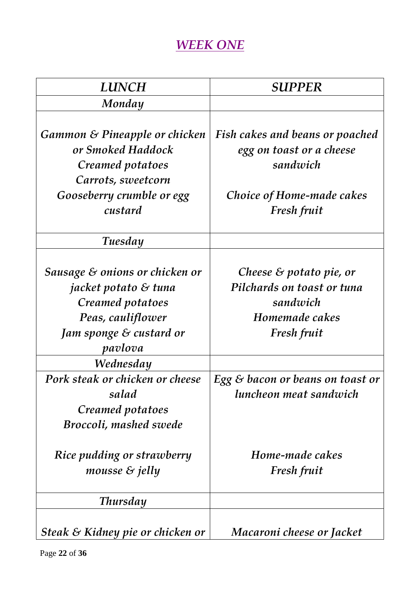### *WEEK ONE*

| <b>LUNCH</b>                                                                                                                                                   | <b>SUPPER</b>                                                                                                              |
|----------------------------------------------------------------------------------------------------------------------------------------------------------------|----------------------------------------------------------------------------------------------------------------------------|
| Monday                                                                                                                                                         |                                                                                                                            |
| Gammon & Pineapple or chicken<br>or Smoked Haddock<br>Creamed potatoes<br>Carrots, sweetcorn<br>Gooseberry crumble or egg<br>custard                           | <b>Fish cakes and beans or poached</b><br>egg on toast or a cheese<br>sandwich<br>Choice of Home-made cakes<br>Fresh fruit |
| Tuesday                                                                                                                                                        |                                                                                                                            |
| Sausage $\varepsilon$ onions or chicken or<br>jacket potato & tuna<br>Creamed potatoes<br>Peas, cauliflower<br>Jam sponge & custard or<br>pavlova<br>Wednesday | Cheese $\&$ potato pie, or<br>Pilchards on toast or tuna<br>sandwich<br>Homemade cakes<br>Fresh fruit                      |
| Pork steak or chicken or cheese<br>salad<br>Creamed potatoes<br><b>Broccoli, mashed swede</b>                                                                  | Egg $\varepsilon$ bacon or beans on toast or<br>luncheon meat sandwich                                                     |
| Rice pudding or strawberry<br>mousse $\&$ jelly                                                                                                                | Home-made cakes<br>Fresh fruit                                                                                             |
| <b>Thursday</b>                                                                                                                                                |                                                                                                                            |
| Steak & Kidney pie or chicken or                                                                                                                               | Macaroni cheese or Jacket                                                                                                  |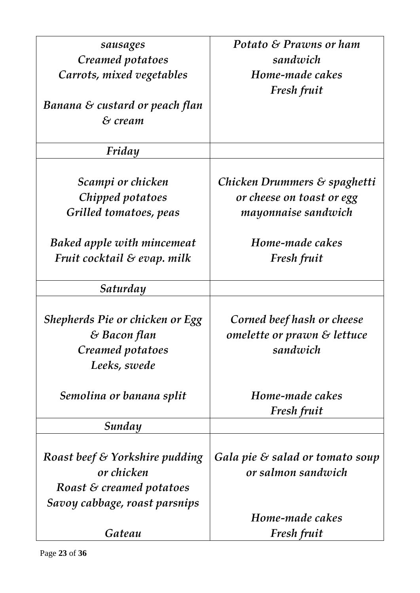| sausages                          | Potato & Prawns or ham          |
|-----------------------------------|---------------------------------|
| Creamed potatoes                  | sandwich                        |
| Carrots, mixed vegetables         | Home-made cakes                 |
|                                   | <b>Fresh fruit</b>              |
| Banana & custard or peach flan    |                                 |
| & cream                           |                                 |
| Friday                            |                                 |
| Scampi or chicken                 | Chicken Drummers & spaghetti    |
| Chipped potatoes                  | or cheese on toast or egg       |
| Grilled tomatoes, peas            | mayonnaise sandwich             |
|                                   |                                 |
| <b>Baked apple with mincemeat</b> | Home-made cakes                 |
| Fruit cocktail & evap. milk       | <b>Fresh fruit</b>              |
|                                   |                                 |
| Saturday                          |                                 |
|                                   |                                 |
| Shepherds Pie or chicken or Egg   | Corned beef hash or cheese      |
| & Bacon flan                      | omelette or prawn & lettuce     |
| Creamed potatoes                  | sandwich                        |
| Leeks, swede                      |                                 |
| Semolina or banana split          | Home-made cakes                 |
|                                   | Fresh fruit                     |
| Sunday                            |                                 |
|                                   |                                 |
| Roast beef & Yorkshire pudding    | Gala pie & salad or tomato soup |
| or chicken                        | or salmon sandwich              |
| Roast & creamed potatoes          |                                 |
| Savoy cabbage, roast parsnips     |                                 |
|                                   | Home-made cakes                 |
| Gateau                            | <b>Fresh fruit</b>              |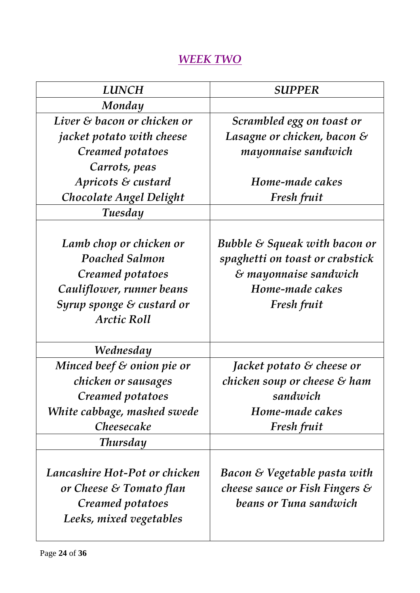### *WEEK TWO*

| <b>LUNCH</b>                                                                                                                                         | <b>SUPPER</b>                                                                                                                                 |
|------------------------------------------------------------------------------------------------------------------------------------------------------|-----------------------------------------------------------------------------------------------------------------------------------------------|
| Monday                                                                                                                                               |                                                                                                                                               |
| Liver & bacon or chicken or                                                                                                                          | Scrambled egg on toast or                                                                                                                     |
| <i>jacket potato with cheese</i>                                                                                                                     | Lasagne or chicken, bacon $\mathcal S$                                                                                                        |
| Creamed potatoes                                                                                                                                     | mayonnaise sandwich                                                                                                                           |
| Carrots, peas                                                                                                                                        |                                                                                                                                               |
| Apricots & custard                                                                                                                                   | Home-made cakes                                                                                                                               |
| Chocolate Angel Delight                                                                                                                              | Fresh fruit                                                                                                                                   |
| Tuesday                                                                                                                                              |                                                                                                                                               |
| Lamb chop or chicken or<br><b>Poached Salmon</b><br>Creamed potatoes<br>Cauliflower, runner beans<br>Syrup sponge & custard or<br><b>Arctic Roll</b> | Bubble $\mathcal S$ Squeak with bacon or<br>spaghetti on toast or crabstick<br>& mayonnaise sandwich<br>Home-made cakes<br><b>Fresh fruit</b> |
| Wednesday                                                                                                                                            |                                                                                                                                               |
| Minced beef $\varepsilon$ onion pie or                                                                                                               | Jacket potato $\mathcal E$ cheese or                                                                                                          |
| chicken or sausages                                                                                                                                  | chicken soup or cheese $\mathcal S$ ham                                                                                                       |
| Creamed potatoes                                                                                                                                     | sandwich                                                                                                                                      |
| White cabbage, mashed swede                                                                                                                          | Home-made cakes                                                                                                                               |
| Cheesecake                                                                                                                                           | Fresh fruit                                                                                                                                   |
| <b>Thursday</b>                                                                                                                                      |                                                                                                                                               |
| Lancashire Hot-Pot or chicken<br>or Cheese & Tomato flan<br>Creamed potatoes<br>Leeks, mixed vegetables                                              | Bacon & Vegetable pasta with<br>cheese sauce or Fish Fingers $\mathcal S$<br>beans or Tuna sandwich                                           |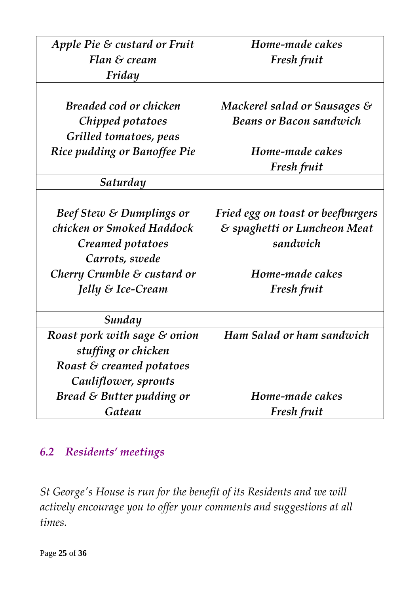| Apple Pie & custard or Fruit           | Home-made cakes                         |
|----------------------------------------|-----------------------------------------|
| Flan & cream                           | Fresh fruit                             |
| Friday                                 |                                         |
|                                        |                                         |
| Breaded cod or chicken                 | Mackerel salad or Sausages $\mathcal S$ |
| Chipped potatoes                       | <b>Beans or Bacon sandwich</b>          |
| Grilled tomatoes, peas                 |                                         |
| Rice pudding or Banoffee Pie           | Home-made cakes                         |
|                                        | Fresh fruit                             |
| Saturday                               |                                         |
|                                        |                                         |
| <b>Beef Stew &amp; Dumplings or</b>    | Fried egg on toast or beefburgers       |
| chicken or Smoked Haddock              | & spaghetti or Luncheon Meat            |
| Creamed potatoes                       | sandwich                                |
| Carrots, swede                         |                                         |
| Cherry Crumble $\mathcal E$ custard or | Home-made cakes                         |
| Jelly & Ice-Cream                      | <b>Fresh fruit</b>                      |
|                                        |                                         |
| Sunday                                 |                                         |
| Roast pork with sage & onion           | Ham Salad or ham sandwich               |
| stuffing or chicken                    |                                         |
| Roast & creamed potatoes               |                                         |
| Cauliflower, sprouts                   |                                         |
| Bread $\&$ Butter pudding or           | Home-made cakes                         |
| Gateau                                 | Fresh fruit                             |

#### *6.2 Residents' meetings*

*St George's House is run for the benefit of its Residents and we will actively encourage you to offer your comments and suggestions at all times.*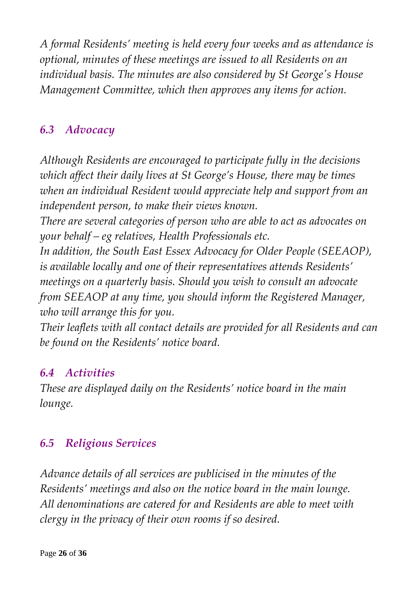*A formal Residents' meeting is held every four weeks and as attendance is optional, minutes of these meetings are issued to all Residents on an individual basis. The minutes are also considered by St George's House Management Committee, which then approves any items for action.*

### *6.3 Advocacy*

*Although Residents are encouraged to participate fully in the decisions which affect their daily lives at St George's House, there may be times when an individual Resident would appreciate help and support from an independent person, to make their views known.*

*There are several categories of person who are able to act as advocates on your behalf – eg relatives, Health Professionals etc.* 

*In addition, the South East Essex Advocacy for Older People (SEEAOP), is available locally and one of their representatives attends Residents' meetings on a quarterly basis. Should you wish to consult an advocate from SEEAOP at any time, you should inform the Registered Manager, who will arrange this for you.* 

*Their leaflets with all contact details are provided for all Residents and can be found on the Residents' notice board.*

### *6.4 Activities*

*These are displayed daily on the Residents' notice board in the main lounge.*

### *6.5 Religious Services*

*Advance details of all services are publicised in the minutes of the Residents' meetings and also on the notice board in the main lounge. All denominations are catered for and Residents are able to meet with clergy in the privacy of their own rooms if so desired.*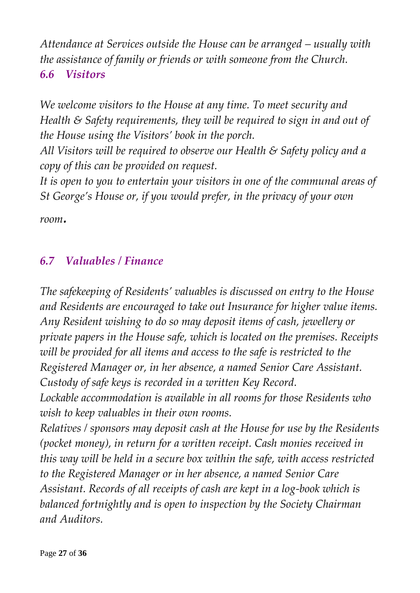*Attendance at Services outside the House can be arranged – usually with the assistance of family or friends or with someone from the Church. 6.6 Visitors*

*We welcome visitors to the House at any time. To meet security and Health & Safety requirements, they will be required to sign in and out of the House using the Visitors' book in the porch.*

*All Visitors will be required to observe our Health & Safety policy and a copy of this can be provided on request.*

*It is open to you to entertain your visitors in one of the communal areas of St George's House or, if you would prefer, in the privacy of your own* 

*room.*

### *6.7 Valuables / Finance*

*The safekeeping of Residents' valuables is discussed on entry to the House and Residents are encouraged to take out Insurance for higher value items. Any Resident wishing to do so may deposit items of cash, jewellery or private papers in the House safe, which is located on the premises. Receipts will be provided for all items and access to the safe is restricted to the Registered Manager or, in her absence, a named Senior Care Assistant. Custody of safe keys is recorded in a written Key Record.*

*Lockable accommodation is available in all rooms for those Residents who wish to keep valuables in their own rooms.*

*Relatives / sponsors may deposit cash at the House for use by the Residents (pocket money), in return for a written receipt. Cash monies received in this way will be held in a secure box within the safe, with access restricted to the Registered Manager or in her absence, a named Senior Care Assistant. Records of all receipts of cash are kept in a log-book which is balanced fortnightly and is open to inspection by the Society Chairman and Auditors.*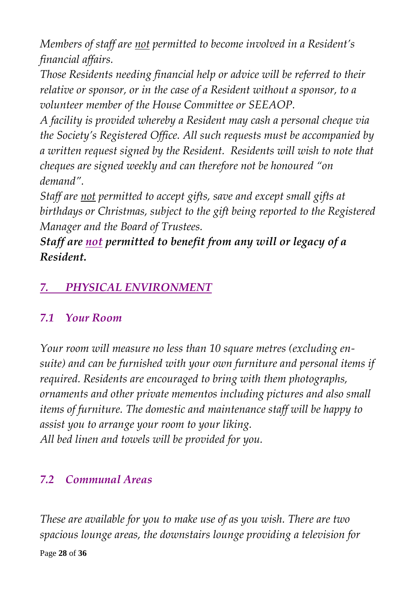*Members of staff are not permitted to become involved in a Resident's financial affairs.*

*Those Residents needing financial help or advice will be referred to their relative or sponsor, or in the case of a Resident without a sponsor, to a volunteer member of the House Committee or SEEAOP.*

*A facility is provided whereby a Resident may cash a personal cheque via the Society's Registered Office. All such requests must be accompanied by a written request signed by the Resident. Residents will wish to note that cheques are signed weekly and can therefore not be honoured "on demand".*

*Staff are not permitted to accept gifts, save and except small gifts at birthdays or Christmas, subject to the gift being reported to the Registered Manager and the Board of Trustees.*

*Staff are not permitted to benefit from any will or legacy of a Resident.*

### *7. PHYSICAL ENVIRONMENT*

### *7.1 Your Room*

*Your room will measure no less than 10 square metres (excluding ensuite) and can be furnished with your own furniture and personal items if required. Residents are encouraged to bring with them photographs, ornaments and other private mementos including pictures and also small items of furniture. The domestic and maintenance staff will be happy to assist you to arrange your room to your liking. All bed linen and towels will be provided for you.*

### *7.2 Communal Areas*

*These are available for you to make use of as you wish. There are two spacious lounge areas, the downstairs lounge providing a television for*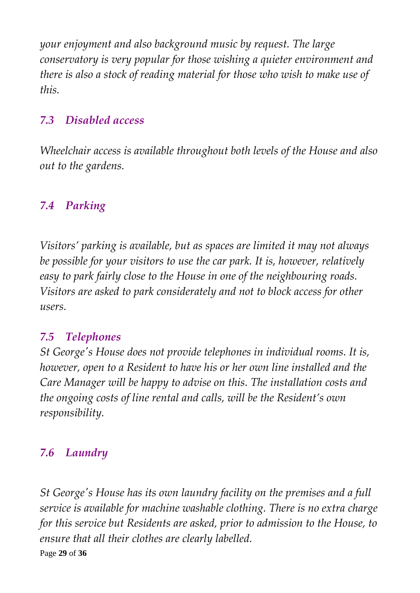*your enjoyment and also background music by request. The large conservatory is very popular for those wishing a quieter environment and there is also a stock of reading material for those who wish to make use of this.*

### *7.3 Disabled access*

*Wheelchair access is available throughout both levels of the House and also out to the gardens.*

### *7.4 Parking*

*Visitors' parking is available, but as spaces are limited it may not always be possible for your visitors to use the car park. It is, however, relatively easy to park fairly close to the House in one of the neighbouring roads. Visitors are asked to park considerately and not to block access for other users.*

### *7.5 Telephones*

*St George's House does not provide telephones in individual rooms. It is, however, open to a Resident to have his or her own line installed and the Care Manager will be happy to advise on this. The installation costs and the ongoing costs of line rental and calls, will be the Resident's own responsibility.*

### *7.6 Laundry*

Page **29** of **36** *St George's House has its own laundry facility on the premises and a full service is available for machine washable clothing. There is no extra charge for this service but Residents are asked, prior to admission to the House, to ensure that all their clothes are clearly labelled.*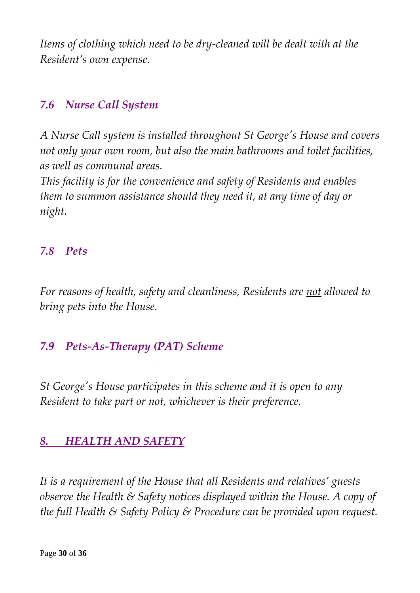*Items of clothing which need to be dry-cleaned will be dealt with at the Resident's own expense.*

#### *7.6 Nurse Call System*

*A Nurse Call system is installed throughout St George's House and covers not only your own room, but also the main bathrooms and toilet facilities, as well as communal areas.* 

*This facility is for the convenience and safety of Residents and enables them to summon assistance should they need it, at any time of day or night.*

#### *7.8 Pets*

*For reasons of health, safety and cleanliness, Residents are not allowed to bring pets into the House.*

#### *7.9 Pets-As-Therapy (PAT) Scheme*

*St George's House participates in this scheme and it is open to any Resident to take part or not, whichever is their preference.*

### *8. HEALTH AND SAFETY*

*It is a requirement of the House that all Residents and relatives' guests observe the Health & Safety notices displayed within the House. A copy of the full Health & Safety Policy & Procedure can be provided upon request.*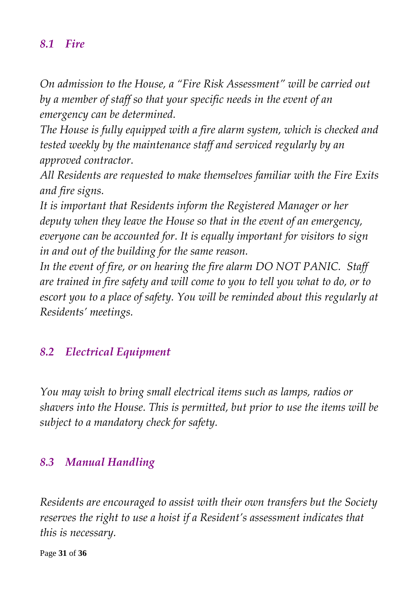#### *8.1 Fire*

*On admission to the House, a "Fire Risk Assessment" will be carried out by a member of staff so that your specific needs in the event of an emergency can be determined.*

*The House is fully equipped with a fire alarm system, which is checked and tested weekly by the maintenance staff and serviced regularly by an approved contractor.*

*All Residents are requested to make themselves familiar with the Fire Exits and fire signs.*

*It is important that Residents inform the Registered Manager or her deputy when they leave the House so that in the event of an emergency, everyone can be accounted for. It is equally important for visitors to sign in and out of the building for the same reason.*

*In the event of fire, or on hearing the fire alarm DO NOT PANIC. Staff are trained in fire safety and will come to you to tell you what to do, or to escort you to a place of safety. You will be reminded about this regularly at Residents' meetings.*

#### *8.2 Electrical Equipment*

*You may wish to bring small electrical items such as lamps, radios or shavers into the House. This is permitted, but prior to use the items will be subject to a mandatory check for safety.*

#### *8.3 Manual Handling*

*Residents are encouraged to assist with their own transfers but the Society reserves the right to use a hoist if a Resident's assessment indicates that this is necessary.*

Page **31** of **36**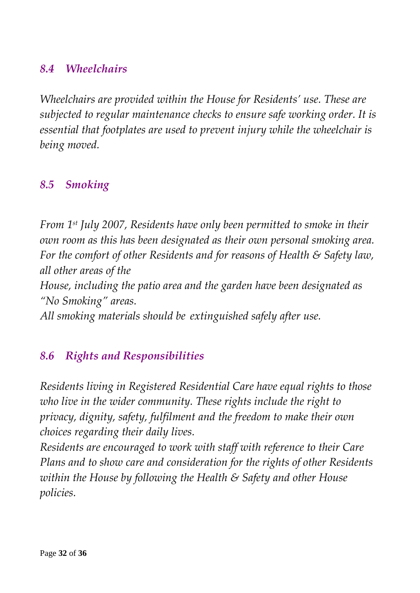### *8.4 Wheelchairs*

*Wheelchairs are provided within the House for Residents' use. These are subjected to regular maintenance checks to ensure safe working order. It is essential that footplates are used to prevent injury while the wheelchair is being moved.*

### *8.5 Smoking*

*From 1st July 2007, Residents have only been permitted to smoke in their own room as this has been designated as their own personal smoking area. For the comfort of other Residents and for reasons of Health & Safety law, all other areas of the House, including the patio area and the garden have been designated as "No Smoking" areas. All smoking materials should be extinguished safely after use.*

### *8.6 Rights and Responsibilities*

*Residents living in Registered Residential Care have equal rights to those who live in the wider community. These rights include the right to privacy, dignity, safety, fulfilment and the freedom to make their own choices regarding their daily lives.*

*Residents are encouraged to work with staff with reference to their Care Plans and to show care and consideration for the rights of other Residents within the House by following the Health & Safety and other House policies.*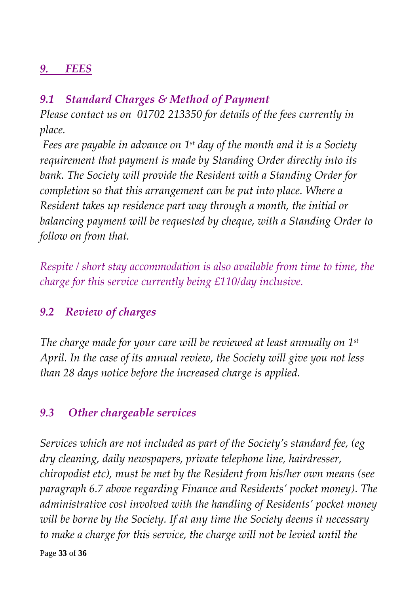### *9. FEES*

### *9.1 Standard Charges & Method of Payment*

*Please contact us on 01702 213350 for details of the fees currently in place.*

*Fees are payable in advance on 1st day of the month and it is a Society requirement that payment is made by Standing Order directly into its bank. The Society will provide the Resident with a Standing Order for completion so that this arrangement can be put into place. Where a Resident takes up residence part way through a month, the initial or balancing payment will be requested by cheque, with a Standing Order to follow on from that.*

*Respite / short stay accommodation is also available from time to time, the charge for this service currently being £110/day inclusive.*

### *9.2 Review of charges*

*The charge made for your care will be reviewed at least annually on 1st April. In the case of its annual review, the Society will give you not less than 28 days notice before the increased charge is applied.*

### *9.3 Other chargeable services*

*Services which are not included as part of the Society's standard fee, (eg dry cleaning, daily newspapers, private telephone line, hairdresser, chiropodist etc), must be met by the Resident from his/her own means (see paragraph 6.7 above regarding Finance and Residents' pocket money). The administrative cost involved with the handling of Residents' pocket money will be borne by the Society. If at any time the Society deems it necessary to make a charge for this service, the charge will not be levied until the*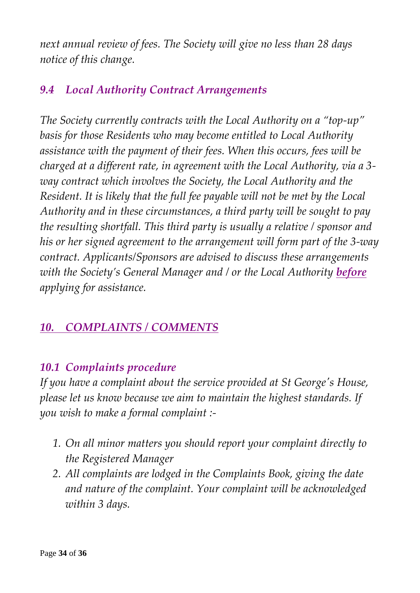*next annual review of fees. The Society will give no less than 28 days notice of this change.*

### *9.4 Local Authority Contract Arrangements*

*The Society currently contracts with the Local Authority on a "top-up" basis for those Residents who may become entitled to Local Authority assistance with the payment of their fees. When this occurs, fees will be charged at a different rate, in agreement with the Local Authority, via a 3 way contract which involves the Society, the Local Authority and the Resident. It is likely that the full fee payable will not be met by the Local Authority and in these circumstances, a third party will be sought to pay the resulting shortfall. This third party is usually a relative / sponsor and his or her signed agreement to the arrangement will form part of the 3-way contract. Applicants/Sponsors are advised to discuss these arrangements with the Society's General Manager and / or the Local Authority before applying for assistance.*

### *10. COMPLAINTS / COMMENTS*

### *10.1 Complaints procedure*

*If you have a complaint about the service provided at St George's House, please let us know because we aim to maintain the highest standards. If you wish to make a formal complaint :-*

- *1. On all minor matters you should report your complaint directly to the Registered Manager*
- *2. All complaints are lodged in the Complaints Book, giving the date and nature of the complaint. Your complaint will be acknowledged within 3 days.*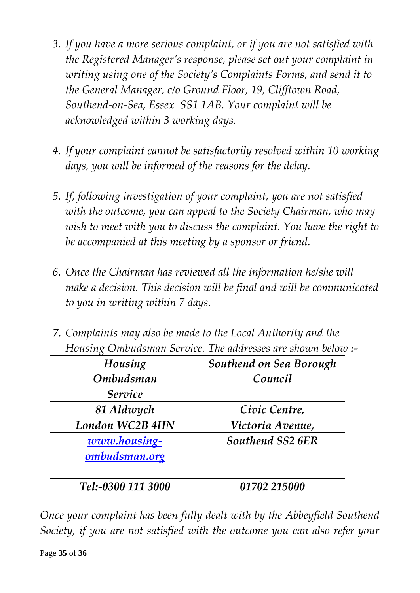- *3. If you have a more serious complaint, or if you are not satisfied with the Registered Manager's response, please set out your complaint in writing using one of the Society's Complaints Forms, and send it to the General Manager, c/o Ground Floor, 19, Clifftown Road, Southend-on-Sea, Essex SS1 1AB. Your complaint will be acknowledged within 3 working days.*
- *4. If your complaint cannot be satisfactorily resolved within 10 working days, you will be informed of the reasons for the delay.*
- *5. If, following investigation of your complaint, you are not satisfied with the outcome, you can appeal to the Society Chairman, who may wish to meet with you to discuss the complaint. You have the right to be accompanied at this meeting by a sponsor or friend.*
- *6. Once the Chairman has reviewed all the information he/she will make a decision. This decision will be final and will be communicated to you in writing within 7 days.*
- *7. Complaints may also be made to the Local Authority and the Housing Ombudsman Service. The addresses are shown below :-*

| Housing            | Southend on Sea Borough |
|--------------------|-------------------------|
| <b>Ombudsman</b>   | Council                 |
| Service            |                         |
| 81 Aldwych         | Civic Centre,           |
| London WC2B 4HN    | Victoria Avenue,        |
| www.housing-       | Southend SS2 6ER        |
| ombudsman.org      |                         |
|                    |                         |
| Tel:-0300 111 3000 | 01702 215000            |

*Once your complaint has been fully dealt with by the Abbeyfield Southend Society, if you are not satisfied with the outcome you can also refer your*